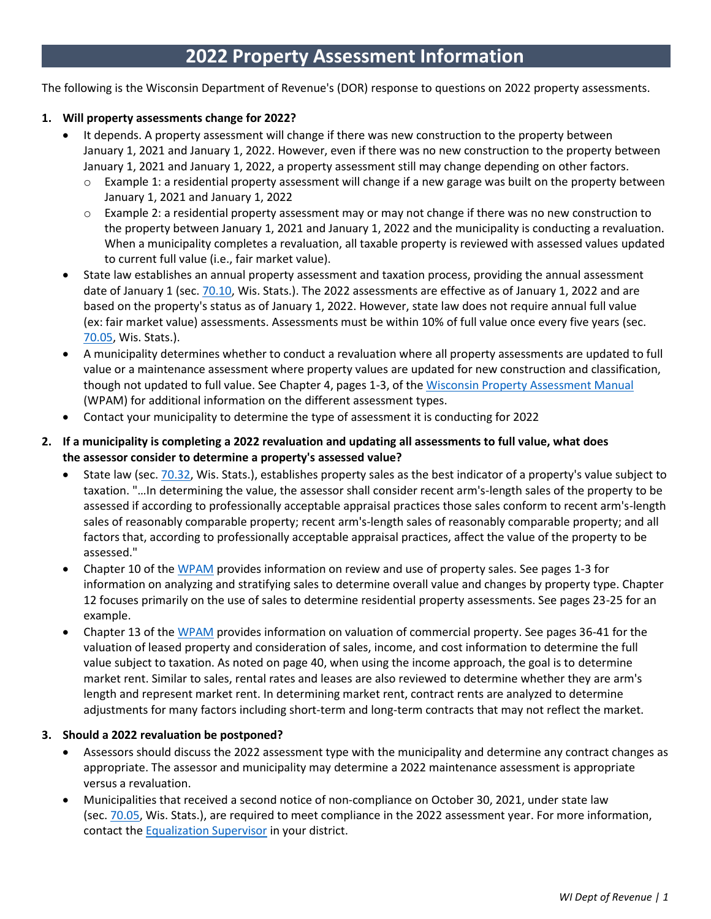The following is the Wisconsin Department of Revenue's (DOR) response to questions on 2022 property assessments.

#### **1. Will property assessments change for 2022?**

- It depends. A property assessment will change if there was new construction to the property between January 1, 2021 and January 1, 2022. However, even if there was no new construction to the property between January 1, 2021 and January 1, 2022, a property assessment still may change depending on other factors.
	- Example 1: a residential property assessment will change if a new garage was built on the property between January 1, 2021 and January 1, 2022
	- $\circ$  Example 2: a residential property assessment may or may not change if there was no new construction to the property between January 1, 2021 and January 1, 2022 and the municipality is conducting a revaluation. When a municipality completes a revaluation, all taxable property is reviewed with assessed values updated to current full value (i.e., fair market value).
- State law establishes an annual property assessment and taxation process, providing the annual assessment date of January 1 (sec. [70.10, W](https://docs.legis.wisconsin.gov/statutes/statutes/70/10)is. Stats.). The 2022 assessments are effective as of January 1, 2022 and are based on the property's status as of January 1, 2022. However, state law does not require annual full value (ex: fair market value) assessments. Assessments must be within 10% of full value once every five years (sec. [70.05,](https://docs.legis.wisconsin.gov/statutes/statutes/70/05) Wis. Stats.).
- A municipality determines whether to conduct a revaluation where all property assessments are updated to full value or a maintenance assessment where property values are updated for new construction and classification, though not updated to full value. See Chapter 4, pages 1-3, of the [Wisconsin Property Assessment Manual](https://www.revenue.wi.gov/documents/wpam22.pdf) (WPAM) for additional information on the different assessment types.
- Contact your municipality to determine the type of assessment it is conducting for 2022
- 2. If a municipality is completing a 2022 revaluation and updating all assessments to full value, what does **the assessor consider to determine a property's assessed value?**
	- State law (sec. [70.32, W](https://docs.legis.wisconsin.gov/statutes/statutes/70/32)is. Stats.), establishes property sales as the best indicator of a property's value subject to taxation. "…In determining the value, the assessor shall consider recent arm's-length sales of the property to be assessed if according to professionally acceptable appraisal practices those sales conform to recent arm's-length sales of reasonably comparable property; recent arm's-length sales of reasonably comparable property; and all factors that, according to professionally acceptable appraisal practices, affect the value of the property to be assessed."
	- Chapter 10 of the [WPAM](https://www.revenue.wi.gov/documents/wpam22.pdf) provides information on review and use of property sales. See pages 1-3 for information on analyzing and stratifying sales to determine overall value and changes by property type. Chapter 12 focuses primarily on the use of sales to determine residential property assessments. See pages 23-25 for an example.
	- Chapter 13 of the [WPAM](https://www.revenue.wi.gov/documents/wpam22.pdf) provides information on valuation of commercial property. See pages 36-41 for the valuation of leased property and consideration of sales, income, and cost information to determine the full value subject to taxation. As noted on page 40, when using the income approach, the goal is to determine market rent. Similar to sales, rental rates and leases are also reviewed to determine whether they are arm's length and represent market rent. In determining market rent, contract rents are analyzed to determine adjustments for many factors including short-term and long-term contracts that may not reflect the market.

#### **3. Should a 2022 revaluation be postponed?**

- Assessors should discuss the 2022 assessment type with the municipality and determine any contract changes as appropriate. The assessor and municipality may determine a 2022 maintenance assessment is appropriate versus a revaluation.
- Municipalities that received a second notice of non-compliance on October 30, 2021, under state law (sec. [70.05, W](https://docs.legis.wisconsin.gov/statutes/statutes/70/05)is. Stats.), are required to meet compliance in the 2022 assessment year. For more information, contact the [Equalization](https://www.revenue.wi.gov/Pages/Contact/slfboe.aspx) Supervisor in your district.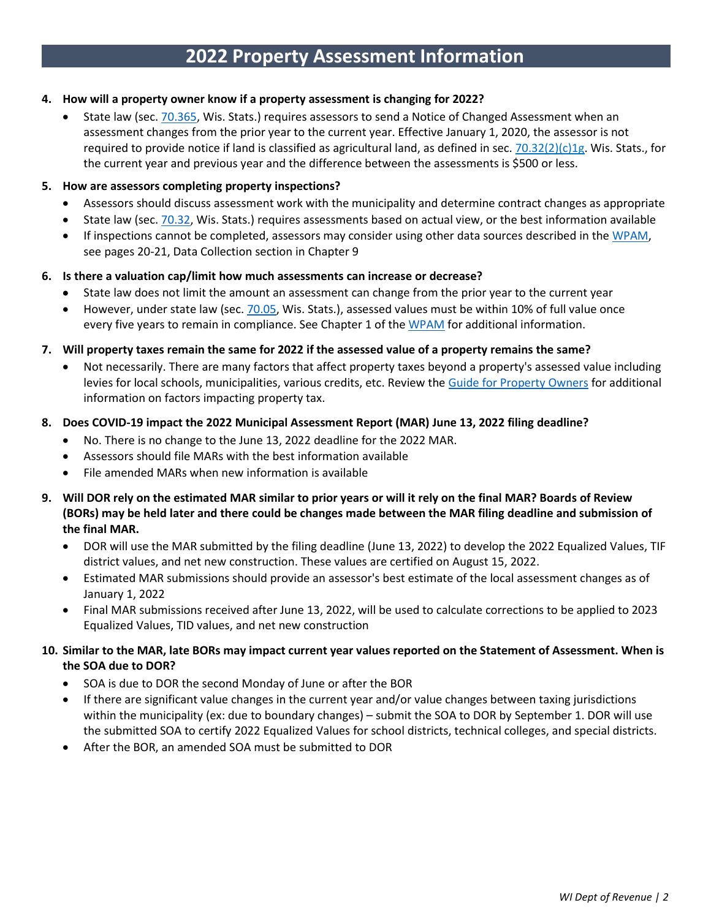### **4. How will a property owner know if a property assessment is changing for 2022?**

State law (sec. [70.365, W](https://docs.legis.wisconsin.gov/statutes/statutes/70/365)is. Stats.) requires assessors to send a Notice of Changed Assessment when an assessment changes from the prior year to the current year. Effective January 1, 2020, the assessor is not required to provide notice if land is classified as agricultural land, as defined in sec. [70.32\(2\)\(c\)1g.](https://docs.legis.wisconsin.gov/document/statutes/70.32(2)(c)1g.) Wis. Stats., for the current year and previous year and the difference between the assessments is \$500 or less.

#### **5. How are assessors completing property inspections?**

- Assessors should discuss assessment work with the municipality and determine contract changes as appropriate
- State law (sec. [70.32,](https://docs.legis.wisconsin.gov/statutes/statutes/70/32) Wis. Stats.) requires assessments based on actual view, or the best information available
- If inspections cannot be completed, assessors may consider using other data sources described in the [WPAM,](https://www.revenue.wi.gov/documents/wpam22.pdf) see pages 20-21, Data Collection section in Chapter 9

### **6. Is there a valuation cap/limit how much assessments can increase or decrease?**

- State law does not limit the amount an assessment can change from the prior year to the current year
- However, under state law (sec. [70.05,](https://docs.legis.wisconsin.gov/statutes/statutes/70/05) Wis. Stats.), assessed values must be within 10% of full value once every five years to remain in compliance. See Chapter 1 of the [WPAM](https://www.revenue.wi.gov/documents/wpam22.pdf) for additional information.
- 7. Will property taxes remain the same for 2022 if the assessed value of a property remains the same?
	- Not necessarily. There are many factors that affect property taxes beyond a property's assessed value including levies for local schools, municipalities, various credits, etc. Review the [Guide for Property Owners](https://www.revenue.wi.gov/DOR%20Publications/pb060.pdf) for additional information on factors impacting property tax.
- **8. Does COVID-19 impact the 2022 Municipal Assessment Report (MAR) June 13, 2022 filing deadline?**
	- No. There is no change to the June 13, 2022 deadline for the 2022 MAR.
	- Assessors should file MARs with the best information available
	- File amended MARs when new information is available
- **9. Will DOR rely on the estimated MAR similar to prior years or will it rely on the final MAR? Boards of Review** (BORs) may be held later and there could be changes made between the MAR filing deadline and submission of **the final MAR.**
	- DOR will use the MAR submitted by the filing deadline (June 13, 2022) to develop the 2022 Equalized Values, TIF district values, and net new construction. These values are certified on August 15, 2022.
	- Estimated MAR submissions should provide an assessor's best estimate of the local assessment changes as of January 1, 2022
	- Final MAR submissions received after June 13, 2022, will be used to calculate corrections to be applied to 2023 Equalized Values, TID values, and net new construction
- **10. Similar to the MAR, late BORs may impact current year values reported on the Statement of Assessment. When is the SOA due to DOR?**
	- SOA is due to DOR the second Monday of June or after the BOR
	- If there are significant value changes in the current year and/or value changes between taxing jurisdictions within the municipality (ex: due to boundary changes) – submit the SOA to DOR by September 1. DOR will use the submitted SOA to certify 2022 Equalized Values for school districts, technical colleges, and special districts.
	- After the BOR, an amended SOA must be submitted to DOR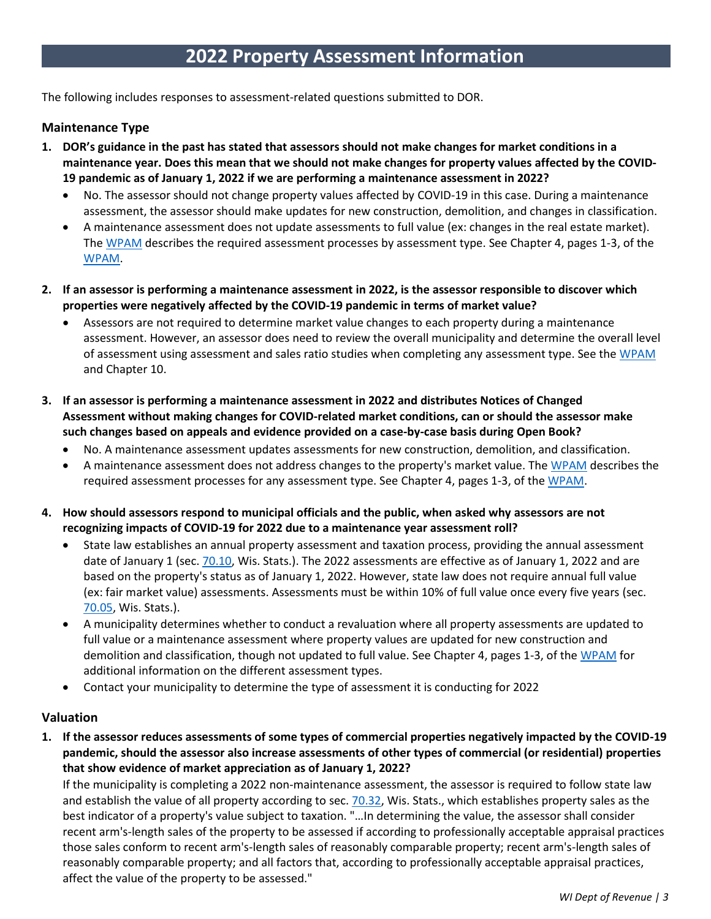The following includes responses to assessment-related questions submitted to DOR.

### **Maintenance Type**

- **1. DOR's guidance in the past has stated that assessors should not make changes for market conditions in a maintenance year. Does this mean that we should not make changes for property values affected by the COVID-19 pandemic as of January 1, 2022 if we are performing a maintenance assessment in 2022?**
	- No. The assessor should not change property values affected by COVID-19 in this case. During a maintenance assessment, the assessor should make updates for new construction, demolition, and changes in classification.
	- A maintenance assessment does not update assessments to full value (ex: changes in the real estate market). The [WPAM](https://www.revenue.wi.gov/documents/wpam22.pdf) describes the required assessment processes by assessment type. See Chapter 4, pages 1-3, of the [WPAM.](https://www.revenue.wi.gov/documents/wpam22.pdf)
- 2. If an assessor is performing a maintenance assessment in 2022, is the assessor responsible to discover which **properties were negatively affected by the COVID-19 pandemic in terms of market value?**
	- Assessors are not required to determine market value changes to each property during a maintenance assessment. However, an assessor does need to review the overall municipality and determine the overall level of assessment using assessment and sales ratio studies when completing any assessment type. See th[e WPAM](https://www.revenue.wi.gov/documents/wpam22.pdf) and Chapter 10.
- **3. If an assessor is performing a maintenance assessment in 2022 and distributes Notices of Changed Assessment without making changes for COVID-related market conditions, can or should the assessor make such changes based on appeals and evidence provided on a case-by-case basis during Open Book?**
	- No. A maintenance assessment updates assessments for new construction, demolition, and classification.
	- A maintenance assessment does not address changes to the property's market value. The [WPAM](https://www.revenue.wi.gov/documents/wpam22.pdf) describes the required assessment processes for any assessment type. See Chapter 4, pages 1-3, of the [WPAM.](https://www.revenue.wi.gov/documents/wpam22.pdf)
- **4. How should assessors respond to municipal officials and the public, when asked why assessors are not recognizing impacts of COVID-19 for 2022 due to a maintenance year assessment roll?**
	- State law establishes an annual property assessment and taxation process, providing the annual assessment date of January 1 (sec. [70.10, Wis. Stats.\)](https://docs.legis.wisconsin.gov/statutes/statutes/70/10). The 2022 assessments are effective as of January 1, 2022 and are based on the property's status as of January 1, 2022. However, state law does not require annual full value (ex: fair market value) assessments. Assessments must be within 10% of full value once every five years [\(sec.](https://docs.legis.wisconsin.gov/statutes/statutes/70/05) [70.05,](https://docs.legis.wisconsin.gov/statutes/statutes/70/05) Wis. Stats.).
	- A municipality determines whether to conduct a revaluation where all property assessments are updated to full value or a maintenance assessment where property values are updated for new construction and demolition and classification, though not updated to full value. See Chapter 4, pages 1-3, of the [WPAM](https://www.revenue.wi.gov/documents/wpam22.pdf) for additional information on the different assessment types.
	- Contact your municipality to determine the type of assessment it is conducting for 2022

#### **Valuation**

**1. If the assessor reduces assessments of some types of commercial properties negatively impacted by the COVID-19 pandemic, should the assessor also increase assessments of other types of commercial (or residential) properties that show evidence of market appreciation as of January 1, 2022?**

If the municipality is completing a 2022 non-maintenance assessment, the assessor is required to follow state law and establish the value of all property according to [sec. 70.32, Wis. Stats.,](https://docs.legis.wisconsin.gov/statutes/statutes/70/32) which establishes property sales as the best indicator of a property's value subject to taxation. "…In determining the value, the assessor shall consider recent arm's-length sales of the property to be assessed if according to professionally acceptable appraisal practices those sales conform to recent arm's-length sales of reasonably comparable property; recent arm's-length sales of reasonably comparable property; and all factors that, according to professionally acceptable appraisal practices, affect the value of the property to be assessed."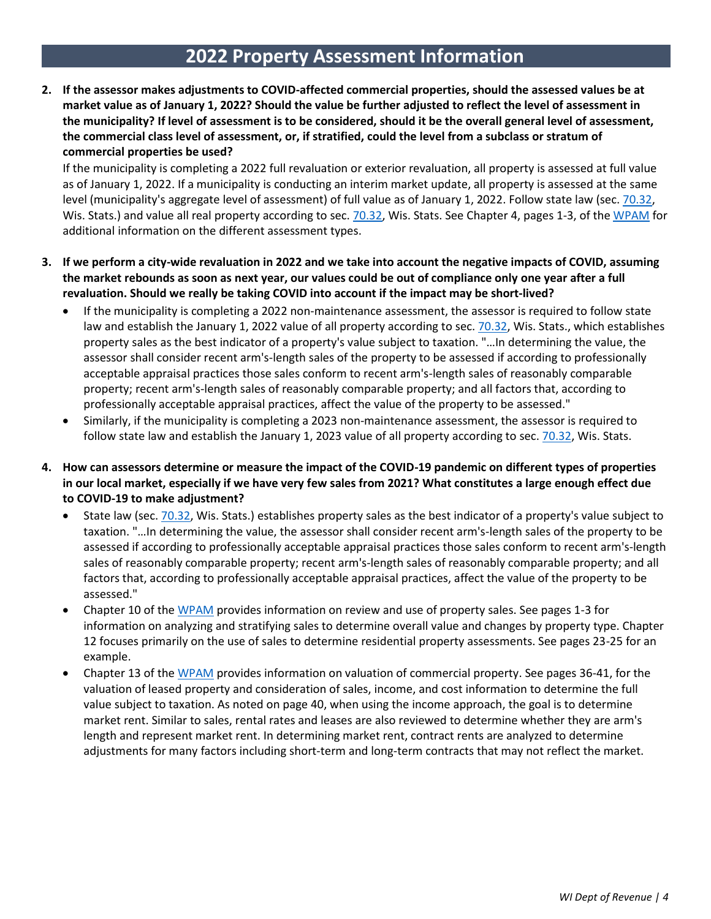**2. If the assessor makes adjustments to COVID-affected commercial properties, should the assessed values be at market value as of January 1, 2022? Should the value be further adjusted to reflect the level of assessment in the municipality? If level of assessment is to be considered, should it be the overall general level of assessment, the commercial class level of assessment, or, if stratified, could the level from a subclass or stratum of commercial properties be used?**

If the municipality is completing a 2022 full revaluation or exterior revaluation, all property is assessed at full value as of January 1, 2022. If a municipality is conducting an interim market update, all property is assessed at the same level (municipality's aggregate level of assessment) of full value as of January 1, 2022. Follow state law (sec[. 70.32,](https://docs.legis.wisconsin.gov/statutes/statutes/70/32) [Wis. Stats.\)](https://docs.legis.wisconsin.gov/statutes/statutes/70/32) and value all real property according to [sec. 70.32, Wis. Stats.](https://docs.legis.wisconsin.gov/statutes/statutes/70/32) See Chapter 4, pages 1-3, of the [WPAM](https://www.revenue.wi.gov/documents/wpam22.pdf) for additional information on the different assessment types.

- **3. If we perform a city-wide revaluation in 2022 and we take into account the negative impacts of COVID, assuming the market rebounds as soon as next year, our values could be out of compliance only one year after a full revaluation. Should we really be taking COVID into account if the impact may be short-lived?**
	- If the municipality is completing a 2022 non-maintenance assessment, the assessor is required to follow state law and establish the January 1, 2022 value of all property according to sec. [70.32, Wis. Stats.,](https://docs.legis.wisconsin.gov/statutes/statutes/70/32) which establishes property sales as the best indicator of a property's value subject to taxation. "…In determining the value, the assessor shall consider recent arm's-length sales of the property to be assessed if according to professionally acceptable appraisal practices those sales conform to recent arm's-length sales of reasonably comparable property; recent arm's-length sales of reasonably comparable property; and all factors that, according to professionally acceptable appraisal practices, affect the value of the property to be assessed."
	- Similarly, if the municipality is completing a 2023 non-maintenance assessment, the assessor is required to follow state law and establish the January 1, 2023 value of all property according to sec. [70.32,](https://docs.legis.wisconsin.gov/statutes/statutes/70/32) Wis. Stats.
- **4. How can assessors determine or measure the impact of the COVID-19 pandemic on different types of properties in our local market, especially if we have very few sales from 2021? What constitutes a large enough effect due to COVID-19 to make adjustment?**
	- State law (sec. [70.32, Wis. Stats.\)](https://docs.legis.wisconsin.gov/statutes/statutes/70/32) establishes property sales as the best indicator of a property's value subject to taxation. "…In determining the value, the assessor shall consider recent arm's-length sales of the property to be assessed if according to professionally acceptable appraisal practices those sales conform to recent arm's-length sales of reasonably comparable property; recent arm's-length sales of reasonably comparable property; and all factors that, according to professionally acceptable appraisal practices, affect the value of the property to be assessed."
	- Chapter 10 of the [WPAM](https://www.revenue.wi.gov/documents/wpam22.pdf) provides information on review and use of property sales. See pages 1-3 for information on analyzing and stratifying sales to determine overall value and changes by property type. Chapter 12 focuses primarily on the use of sales to determine residential property assessments. See pages 23-25 for an example.
	- Chapter 13 of the [WPAM](https://www.revenue.wi.gov/documents/wpam22.pdf) provides information on valuation of commercial property. See pages 36-41, for the valuation of leased property and consideration of sales, income, and cost information to determine the full value subject to taxation. As noted on page 40, when using the income approach, the goal is to determine market rent. Similar to sales, rental rates and leases are also reviewed to determine whether they are arm's length and represent market rent. In determining market rent, contract rents are analyzed to determine adjustments for many factors including short-term and long-term contracts that may not reflect the market.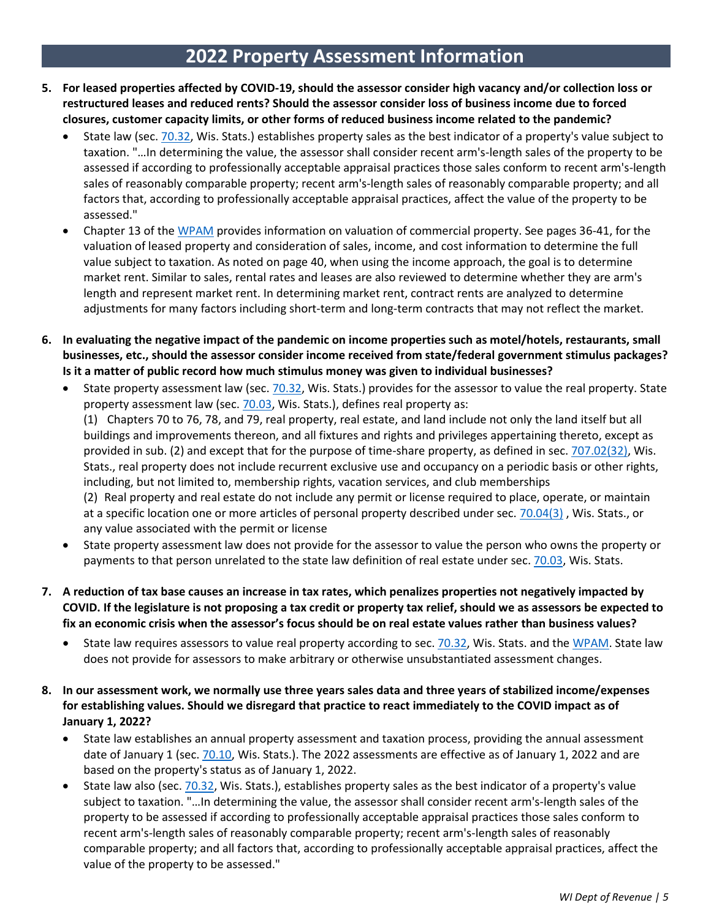- **5. For leased properties affected by COVID-19, should the assessor consider high vacancy and/or collection loss or restructured leases and reduced rents? Should the assessor consider loss of business income due to forced closures, customer capacity limits, or other forms of reduced business income related to the pandemic?**
	- State law (sec. [70.32, Wis. Stats.\)](https://docs.legis.wisconsin.gov/statutes/statutes/70/32) establishes property sales as the best indicator of a property's value subject to taxation. "…In determining the value, the assessor shall consider recent arm's-length sales of the property to be assessed if according to professionally acceptable appraisal practices those sales conform to recent arm's-length sales of reasonably comparable property; recent arm's-length sales of reasonably comparable property; and all factors that, according to professionally acceptable appraisal practices, affect the value of the property to be assessed."
	- Chapter 13 of the [WPAM](https://www.revenue.wi.gov/documents/wpam22.pdf) provides information on valuation of commercial property. See pages 36-41, for the valuation of leased property and consideration of sales, income, and cost information to determine the full value subject to taxation. As noted on page 40, when using the income approach, the goal is to determine market rent. Similar to sales, rental rates and leases are also reviewed to determine whether they are arm's length and represent market rent. In determining market rent, contract rents are analyzed to determine adjustments for many factors including short-term and long-term contracts that may not reflect the market.
- **6. In evaluating the negative impact of the pandemic on income properties such as motel/hotels, restaurants, small businesses, etc., should the assessor consider income received from state/federal government stimulus packages? Is it a matter of public record how much stimulus money was given to individual businesses?**
	- State property assessment law (sec. [70.32, Wis. Stats.\)](https://docs.legis.wisconsin.gov/statutes/statutes/70/32) provides for the assessor to value the real property. State property assessment law (sec. 70.03, [Wis. Stats.\)](https://docs.legis.wisconsin.gov/statutes/statutes/70/03), defines real property as: (1) Chapters 70 to 76, 78, and 79, real property, real estate, and land include not only the land itself but all buildings and improvements thereon, and all fixtures and rights and privileges appertaining thereto, except as provided in sub. (2) and except that for the purpose of time-share property, as defined in sec. [707.02\(32\),](https://docs.legis.wisconsin.gov/statutes/statutes/707/i/02/32) Wis. Stats., real property does not include recurrent exclusive use and occupancy on a periodic basis or other rights, including, but not limited to, membership rights, vacation services, and club memberships (2) Real property and real estate do not include any permit or license required to place, operate, or maintain at a specific location one or more articles of personal property described under sec. [70.04\(3\)](https://docs.legis.wisconsin.gov/statutes/statutes/70/04/3) , Wis. Stats., or any value associated with the permit or license
	- State property assessment law does not provide for the assessor to value the person who owns the property or payments to that person unrelated to the state law definition of real estate under sec. 70.03, [Wis. Stats.](https://docs.legis.wisconsin.gov/statutes/statutes/70/03)
- **7. A reduction of tax base causes an increase in tax rates, which penalizes properties not negatively impacted by COVID. If the legislature is not proposing a tax credit or property tax relief, should we as assessors be expected to fix an economic crisis when the assessor's focus should be on real estate values rather than business values?**
	- State law requires assessors to value real property according to sec. [70.32, Wis. Stats. a](https://docs.legis.wisconsin.gov/statutes/statutes/70/32)nd the [WPAM.](https://www.revenue.wi.gov/documents/wpam22.pdf) State law does not provide for assessors to make arbitrary or otherwise unsubstantiated assessment changes.
- **8. In our assessment work, we normally use three years sales data and three years of stabilized income/expenses for establishing values. Should we disregard that practice to react immediately to the COVID impact as of January 1, 2022?**
	- State law establishes an annual property assessment and taxation process, providing the annual assessment date of January 1 (sec. [70.10, Wis. Stats.\)](https://docs.legis.wisconsin.gov/statutes/statutes/70/10). The 2022 assessments are effective as of January 1, 2022 and are based on the property's status as of January 1, 2022.
	- State law also (sec. [70.32, Wis. Stats.\)](https://docs.legis.wisconsin.gov/statutes/statutes/70/32), establishes property sales as the best indicator of a property's value subject to taxation. "…In determining the value, the assessor shall consider recent arm's-length sales of the property to be assessed if according to professionally acceptable appraisal practices those sales conform to recent arm's-length sales of reasonably comparable property; recent arm's-length sales of reasonably comparable property; and all factors that, according to professionally acceptable appraisal practices, affect the value of the property to be assessed."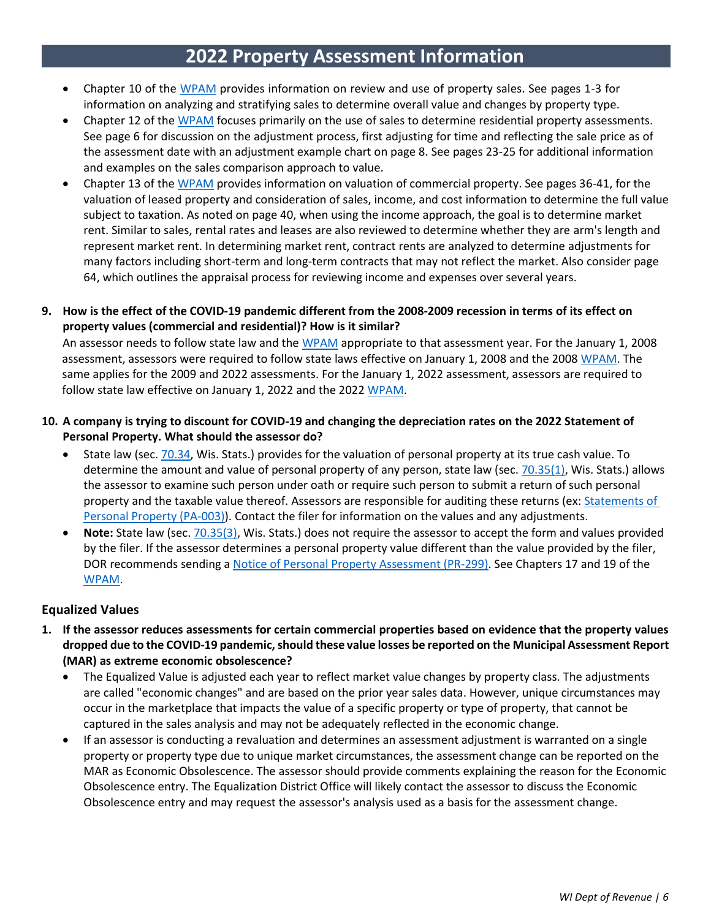- Chapter 10 of the [WPAM](https://www.revenue.wi.gov/documents/wpam22.pdf) provides information on review and use of property sales. See pages 1-3 for information on analyzing and stratifying sales to determine overall value and changes by property type.
- Chapter 12 of the [WPAM](https://www.revenue.wi.gov/documents/wpam22.pdf) focuses primarily on the use of sales to determine residential property assessments. See page 6 for discussion on the adjustment process, first adjusting for time and reflecting the sale price as of the assessment date with an adjustment example chart on page 8. See pages 23-25 for additional information and examples on the sales comparison approach to value.
- Chapter 13 of the [WPAM](https://www.revenue.wi.gov/documents/wpam22.pdf) provides information on valuation of commercial property. See pages 36-41, for the valuation of leased property and consideration of sales, income, and cost information to determine the full value subject to taxation. As noted on page 40, when using the income approach, the goal is to determine market rent. Similar to sales, rental rates and leases are also reviewed to determine whether they are arm's length and represent market rent. In determining market rent, contract rents are analyzed to determine adjustments for many factors including short-term and long-term contracts that may not reflect the market. Also consider page 64, which outlines the appraisal process for reviewing income and expenses over several years.
- 9. How is the effect of the COVID-19 pandemic different from the 2008-2009 recession in terms of its effect on **property values (commercial and residential)? How is it similar?**

An assessor needs to follow state law and the [WPAM](https://www.revenue.wi.gov/documents/wpam22.pdf) appropriate to that assessment year. For the January 1, 2008 assessment, assessors were required to follow state laws effective on January 1, 2008 and the 2008 [WPAM.](https://www.revenue.wi.gov/documents/wpam22.pdf) The same applies for the 2009 and 2022 assessments. For the January 1, 2022 assessment, assessors are required to follow state law effective on January 1, 2022 and the 2022 [WPAM.](https://www.revenue.wi.gov/documents/wpam22.pdf)

### **10. A company is trying to discount for COVID-19 and changing the depreciation rates on the 2022 Statement of Personal Property. What should the assessor do?**

- State law (sec. [70.34, Wis. Stats.\)](https://docs.legis.wisconsin.gov/statutes/statutes/70/34) provides for the valuation of personal property at its true cash value. To determine the amount and value of personal property of any person, state law (sec. [70.35\(1\), Wis. Stats.\)](https://docs.legis.wisconsin.gov/statutes/statutes/70/35/1) allows the assessor to examine such person under oath or require such person to submit a return of such personal property and the taxable value thereof. Assessors are responsible for auditing these returns (ex: [Statements of](https://www.revenue.wi.gov/dorforms/pa-003.pdf)  [Personal Property \(PA-003\)\)](https://www.revenue.wi.gov/dorforms/pa-003.pdf). Contact the filer for information on the values and any adjustments.
- **Note:** State law (sec. [70.35\(3\), Wis. Stats.\)](https://docs.legis.wisconsin.gov/statutes/statutes/70/35/3) does not require the assessor to accept the form and values provided by the filer. If the assessor determines a personal property value different than the value provided by the filer, DOR recommends sending a [Notice of Personal Property Assessment \(PR-299\).](https://www.revenue.wi.gov/dorforms/pr-299.pdf) See Chapters 17 and 19 of the [WPAM.](https://www.revenue.wi.gov/documents/wpam22.pdf)

### **Equalized Values**

- **1. If the assessor reduces assessments for certain commercial properties based on evidence that the property values dropped due to the COVID-19 pandemic, should these value losses be reported on the Municipal Assessment Report (MAR) as extreme economic obsolescence?**
	- The Equalized Value is adjusted each year to reflect market value changes by property class. The adjustments are called "economic changes" and are based on the prior year sales data. However, unique circumstances may occur in the marketplace that impacts the value of a specific property or type of property, that cannot be captured in the sales analysis and may not be adequately reflected in the economic change.
	- If an assessor is conducting a revaluation and determines an assessment adjustment is warranted on a single property or property type due to unique market circumstances, the assessment change can be reported on the MAR as Economic Obsolescence. The assessor should provide comments explaining the reason for the Economic Obsolescence entry. The Equalization District Office will likely contact the assessor to discuss the Economic Obsolescence entry and may request the assessor's analysis used as a basis for the assessment change.